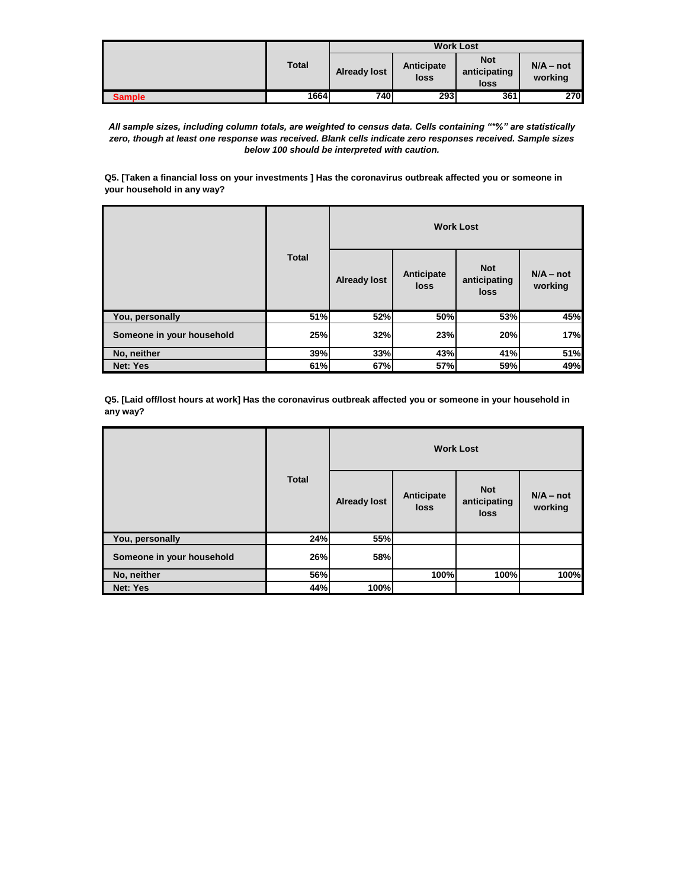|               |              |                     |                    | <b>Work Lost</b>                   |                        |
|---------------|--------------|---------------------|--------------------|------------------------------------|------------------------|
|               | <b>Total</b> | <b>Already lost</b> | Anticipate<br>loss | <b>Not</b><br>anticipating<br>loss | $N/A - not$<br>working |
| <b>Sample</b> | 1664         | 740                 | 293                | 361                                | 270                    |

*All sample sizes, including column totals, are weighted to census data. Cells containing "\*%" are statistically zero, though at least one response was received. Blank cells indicate zero responses received. Sample sizes below 100 should be interpreted with caution.*

**Q5. [Taken a financial loss on your investments ] Has the coronavirus outbreak affected you or someone in your household in any way?**

|                           | <b>Total</b> |                     |                    | <b>Work Lost</b>                   |                        |
|---------------------------|--------------|---------------------|--------------------|------------------------------------|------------------------|
|                           |              | <b>Already lost</b> | Anticipate<br>loss | <b>Not</b><br>anticipating<br>loss | $N/A - not$<br>working |
| You, personally           | 51%          | 52%                 | 50%                | 53%                                | 45%                    |
| Someone in your household | 25%          | 32%                 | 23%                | 20%                                | 17%                    |
| No, neither               | 39%          | 33%                 | 43%                | 41%                                | 51%                    |
| <b>Net: Yes</b>           | 61%          | 67%                 | 57%                | 59%                                | 49%                    |

**Q5. [Laid off/lost hours at work] Has the coronavirus outbreak affected you or someone in your household in any way?**

|                           | <b>Total</b> |                     | <b>Work Lost</b>   |                                           |                        |
|---------------------------|--------------|---------------------|--------------------|-------------------------------------------|------------------------|
|                           |              | <b>Already lost</b> | Anticipate<br>loss | <b>Not</b><br>anticipating<br><b>loss</b> | $N/A - not$<br>working |
| You, personally           | 24%          | 55%                 |                    |                                           |                        |
| Someone in your household | 26%          | 58%                 |                    |                                           |                        |
| No, neither               | 56%          |                     | 100%               | 100%                                      | 100%                   |
| <b>Net: Yes</b>           | 44%          | 100%                |                    |                                           |                        |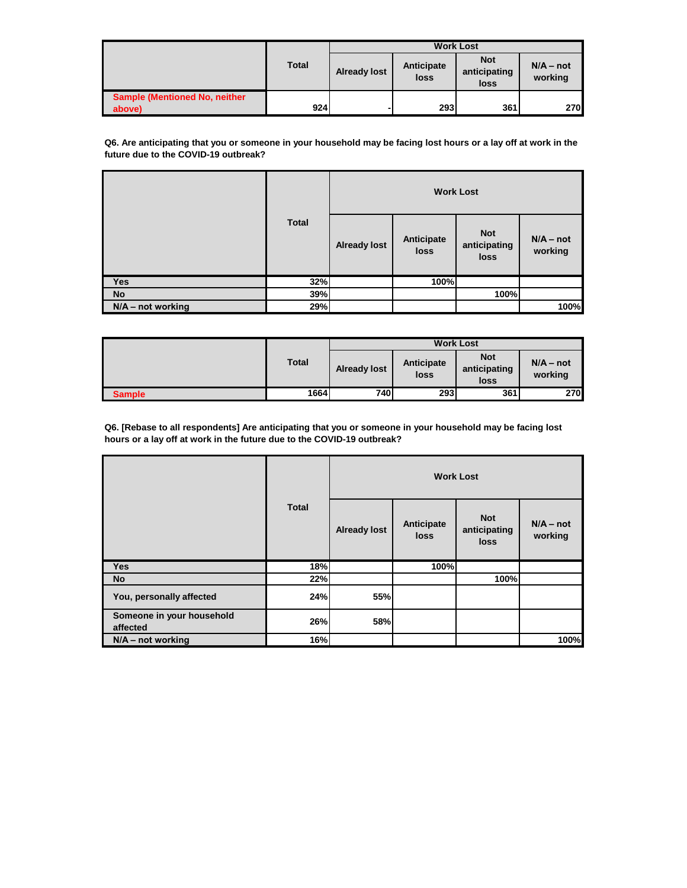|                                                |              | <b>Work Lost</b>    |                    |                                    |                        |
|------------------------------------------------|--------------|---------------------|--------------------|------------------------------------|------------------------|
|                                                | <b>Total</b> | <b>Already lost</b> | Anticipate<br>loss | <b>Not</b><br>anticipating<br>loss | $N/A - not$<br>working |
| <b>Sample (Mentioned No, neither</b><br>above) | 924          |                     | 293                | 361                                | 270I                   |

**Q6. Are anticipating that you or someone in your household may be facing lost hours or a lay off at work in the future due to the COVID-19 outbreak?**

|                     | <b>Total</b> |                     |                    | <b>Work Lost</b>                   |                        |
|---------------------|--------------|---------------------|--------------------|------------------------------------|------------------------|
|                     |              | <b>Already lost</b> | Anticipate<br>loss | <b>Not</b><br>anticipating<br>loss | $N/A - not$<br>working |
| <b>Yes</b>          | 32%          |                     | 100%               |                                    |                        |
| <b>No</b>           | 39%          |                     |                    | 100%                               |                        |
| $N/A$ – not working | 29%          |                     |                    |                                    | 100%                   |

|               |              |                     |                    | <b>Work Lost</b>                   |                        |
|---------------|--------------|---------------------|--------------------|------------------------------------|------------------------|
|               | <b>Total</b> | <b>Already lost</b> | Anticipate<br>loss | <b>Not</b><br>anticipating<br>loss | $N/A - not$<br>working |
| <b>Sample</b> | 1664         | 740                 | 293                | 361                                | <b>270</b>             |

**Q6. [Rebase to all respondents] Are anticipating that you or someone in your household may be facing lost hours or a lay off at work in the future due to the COVID-19 outbreak?**

|                                       | <b>Total</b> |                     | <b>Work Lost</b>          |                                           |                        |
|---------------------------------------|--------------|---------------------|---------------------------|-------------------------------------------|------------------------|
|                                       |              | <b>Already lost</b> | Anticipate<br><b>loss</b> | <b>Not</b><br>anticipating<br><b>loss</b> | $N/A - not$<br>working |
| <b>Yes</b>                            | 18%          |                     | 100%l                     |                                           |                        |
| No                                    | 22%          |                     |                           | 100%                                      |                        |
| You, personally affected              | 24%          | 55%                 |                           |                                           |                        |
| Someone in your household<br>affected | 26%          | 58%                 |                           |                                           |                        |
| $N/A$ – not working                   | 16%          |                     |                           |                                           | 100%                   |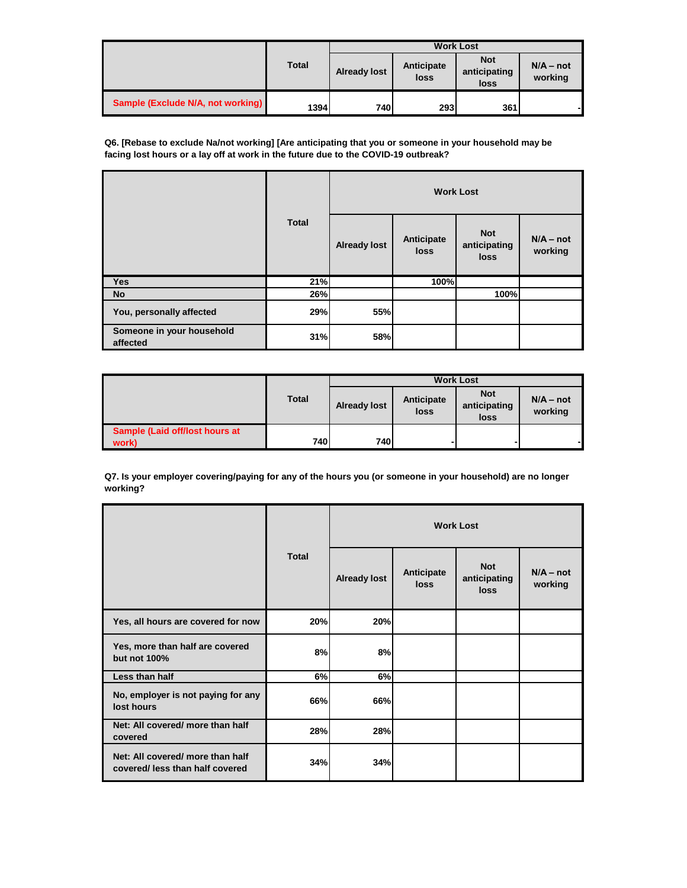|                                   |              | <b>Work Lost</b>    |                    |                                    |                        |  |
|-----------------------------------|--------------|---------------------|--------------------|------------------------------------|------------------------|--|
|                                   | <b>Total</b> | <b>Already lost</b> | Anticipate<br>loss | <b>Not</b><br>anticipating<br>loss | $N/A - not$<br>working |  |
| Sample (Exclude N/A, not working) | 1394         | 740                 | <b>2931</b>        | 361                                |                        |  |

**Q6. [Rebase to exclude Na/not working] [Are anticipating that you or someone in your household may be facing lost hours or a lay off at work in the future due to the COVID-19 outbreak?**

|                                       |              |                     |                    | <b>Work Lost</b>                          |                        |
|---------------------------------------|--------------|---------------------|--------------------|-------------------------------------------|------------------------|
|                                       | <b>Total</b> | <b>Already lost</b> | Anticipate<br>loss | <b>Not</b><br>anticipating<br><b>loss</b> | $N/A - not$<br>working |
| <b>Yes</b>                            | 21%          |                     | 100%               |                                           |                        |
| <b>No</b>                             | 26%          |                     |                    | 100%                                      |                        |
| You, personally affected              | 29%          | 55%                 |                    |                                           |                        |
| Someone in your household<br>affected | 31%          | 58%                 |                    |                                           |                        |

|                                         | <b>Total</b> | <b>Work Lost</b>    |                    |                                    |                        |  |
|-----------------------------------------|--------------|---------------------|--------------------|------------------------------------|------------------------|--|
|                                         |              | <b>Already lost</b> | Anticipate<br>loss | <b>Not</b><br>anticipating<br>loss | $N/A - not$<br>working |  |
| Sample (Laid off/lost hours at<br>work) | 740          | 740I                |                    |                                    |                        |  |

**Q7. Is your employer covering/paying for any of the hours you (or someone in your household) are no longer working?**

|                                                                     |              |                     |                           | <b>Work Lost</b>                   |                        |
|---------------------------------------------------------------------|--------------|---------------------|---------------------------|------------------------------------|------------------------|
|                                                                     | <b>Total</b> | <b>Already lost</b> | Anticipate<br><b>loss</b> | <b>Not</b><br>anticipating<br>loss | $N/A - not$<br>working |
| Yes, all hours are covered for now                                  | 20%          | 20%                 |                           |                                    |                        |
| Yes, more than half are covered<br>but not 100%                     | 8%           | 8%                  |                           |                                    |                        |
| Less than half                                                      | 6%           | 6%                  |                           |                                    |                        |
| No, employer is not paying for any<br>lost hours                    | 66%          | 66%                 |                           |                                    |                        |
| Net: All covered/ more than half<br>covered                         | 28%          | 28%                 |                           |                                    |                        |
| Net: All covered/ more than half<br>covered/ less than half covered | 34%          | 34%                 |                           |                                    |                        |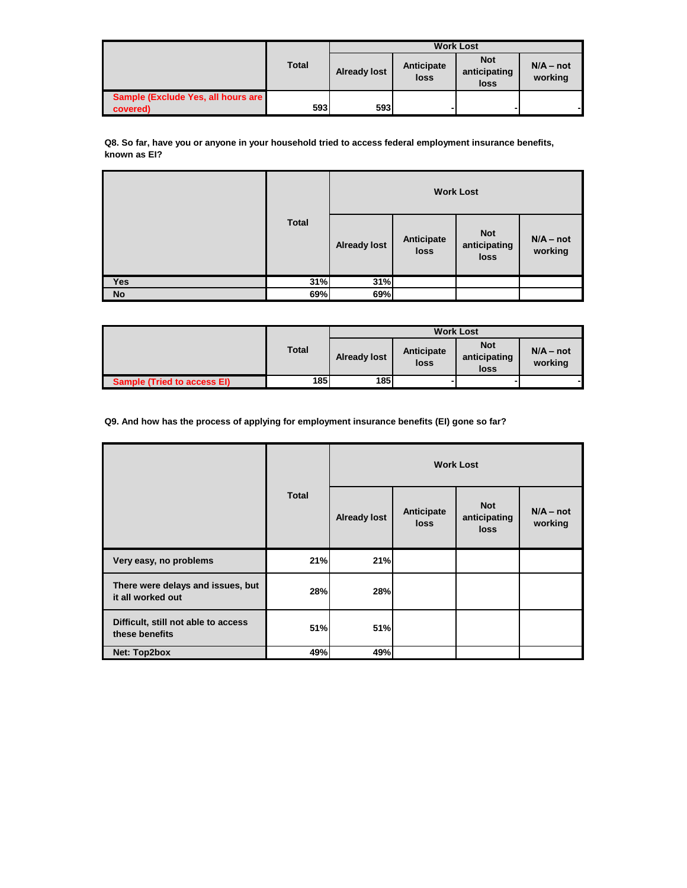|                                    |              | <b>Work Lost</b>    |                    |                                    |                        |  |
|------------------------------------|--------------|---------------------|--------------------|------------------------------------|------------------------|--|
|                                    | <b>Total</b> | <b>Already lost</b> | Anticipate<br>loss | <b>Not</b><br>anticipating<br>loss | $N/A - not$<br>working |  |
| Sample (Exclude Yes, all hours are |              |                     |                    |                                    |                        |  |
| covered)                           | 593          | 593l                |                    |                                    |                        |  |

**Q8. So far, have you or anyone in your household tried to access federal employment insurance benefits, known as EI?**

|            | <b>Total</b> |                     |                    | <b>Work Lost</b>                   |                        |
|------------|--------------|---------------------|--------------------|------------------------------------|------------------------|
|            |              | <b>Already lost</b> | Anticipate<br>loss | <b>Not</b><br>anticipating<br>loss | $N/A - not$<br>working |
| <b>Yes</b> | 31%          | 31%                 |                    |                                    |                        |
| <b>No</b>  | 69%          | 69%                 |                    |                                    |                        |

|                                    |              |                     |                    | <b>Work Lost</b>                   |                        |
|------------------------------------|--------------|---------------------|--------------------|------------------------------------|------------------------|
|                                    | <b>Total</b> | <b>Already lost</b> | Anticipate<br>loss | <b>Not</b><br>anticipating<br>loss | $N/A - not$<br>working |
| <b>Sample (Tried to access EI)</b> | 185          | <b>185</b>          |                    |                                    |                        |

**Q9. And how has the process of applying for employment insurance benefits (EI) gone so far?**

|                                                        | <b>Total</b> |                     |                           | <b>Work Lost</b>                   |                        |
|--------------------------------------------------------|--------------|---------------------|---------------------------|------------------------------------|------------------------|
|                                                        |              | <b>Already lost</b> | Anticipate<br><b>loss</b> | <b>Not</b><br>anticipating<br>loss | $N/A - not$<br>working |
| Very easy, no problems                                 | 21%          | 21%                 |                           |                                    |                        |
| There were delays and issues, but<br>it all worked out | 28%          | 28%                 |                           |                                    |                        |
| Difficult, still not able to access<br>these benefits  | 51%          | 51%                 |                           |                                    |                        |
| Net: Top2box                                           | 49%          | 49%                 |                           |                                    |                        |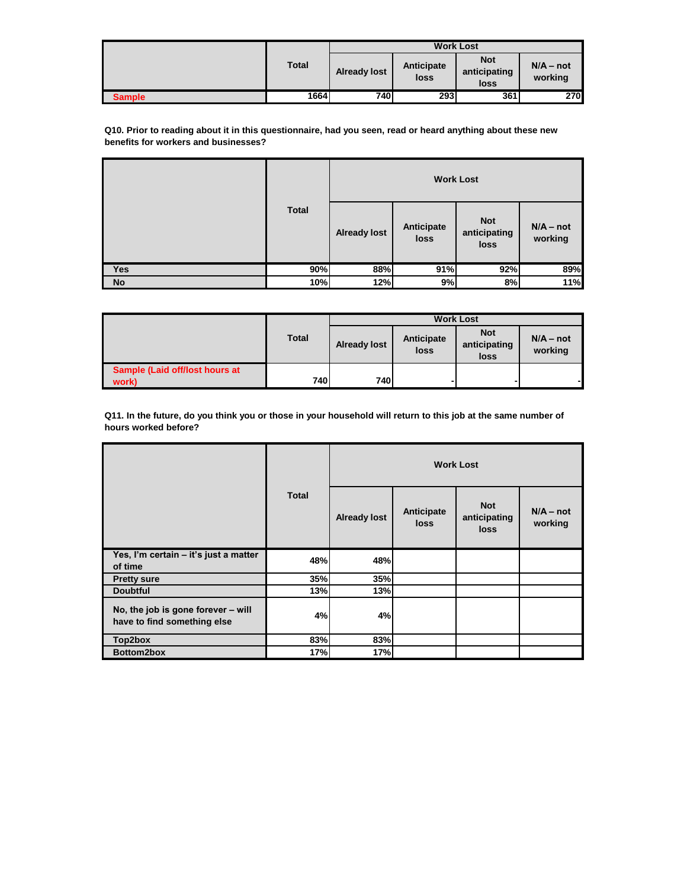|               |              |                     |                    | <b>Work Lost</b>                   |                        |
|---------------|--------------|---------------------|--------------------|------------------------------------|------------------------|
|               | <b>Total</b> | <b>Already lost</b> | Anticipate<br>loss | <b>Not</b><br>anticipating<br>loss | $N/A - not$<br>working |
| <b>Sample</b> | 1664         | <b>740</b>          | 293                | 361                                | 270                    |

**Q10. Prior to reading about it in this questionnaire, had you seen, read or heard anything about these new benefits for workers and businesses?**

|            |              |                     |                    | <b>Work Lost</b>                   |                        |
|------------|--------------|---------------------|--------------------|------------------------------------|------------------------|
|            | <b>Total</b> | <b>Already lost</b> | Anticipate<br>loss | <b>Not</b><br>anticipating<br>loss | $N/A - not$<br>working |
| <b>Yes</b> | 90%          | 88%                 | 91%                | 92%                                | 89%                    |
| <b>No</b>  | 10%          | 12%                 | 9%                 | 8%                                 | 11%                    |

|                                |              | <b>Work Lost</b>    |                    |                                    |                        |
|--------------------------------|--------------|---------------------|--------------------|------------------------------------|------------------------|
|                                | <b>Total</b> | <b>Already lost</b> | Anticipate<br>loss | <b>Not</b><br>anticipating<br>loss | $N/A - not$<br>working |
| Sample (Laid off/lost hours at | 740          | <b>740</b>          |                    |                                    |                        |
| work)                          |              |                     |                    |                                    |                        |

**Q11. In the future, do you think you or those in your household will return to this job at the same number of hours worked before?**

|                                                                   | <b>Total</b> |                     |                    | <b>Work Lost</b>                          |                        |
|-------------------------------------------------------------------|--------------|---------------------|--------------------|-------------------------------------------|------------------------|
|                                                                   |              | <b>Already lost</b> | Anticipate<br>loss | <b>Not</b><br>anticipating<br><b>loss</b> | $N/A - not$<br>working |
| Yes, I'm certain - it's just a matter<br>of time                  | 48%          | 48%                 |                    |                                           |                        |
| <b>Pretty sure</b>                                                | 35%          | 35%                 |                    |                                           |                        |
| <b>Doubtful</b>                                                   | 13%          | 13%                 |                    |                                           |                        |
| No, the job is gone forever - will<br>have to find something else | 4%           | 4%                  |                    |                                           |                        |
| Top2box                                                           | 83%          | 83%                 |                    |                                           |                        |
| Bottom2box                                                        | 17%          | 17%                 |                    |                                           |                        |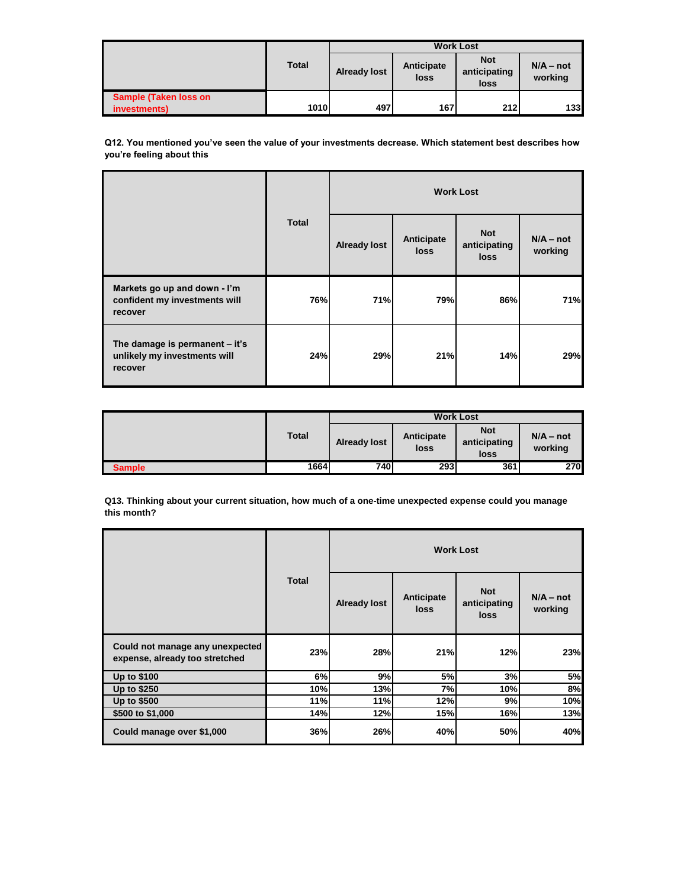|                              |              | <b>Work Lost</b>    |                    |                                    |                        |  |
|------------------------------|--------------|---------------------|--------------------|------------------------------------|------------------------|--|
|                              | <b>Total</b> | <b>Already lost</b> | Anticipate<br>loss | <b>Not</b><br>anticipating<br>loss | $N/A - not$<br>working |  |
| <b>Sample (Taken loss on</b> |              |                     |                    |                                    |                        |  |
| investments)                 | <b>1010</b>  | 497                 | 167                | <b>212</b>                         | 133 <sup>l</sup>       |  |

**Q12. You mentioned you've seen the value of your investments decrease. Which statement best describes how you're feeling about this**

|                                                                           | <b>Total</b> |                     |                    | <b>Work Lost</b>                          |                        |
|---------------------------------------------------------------------------|--------------|---------------------|--------------------|-------------------------------------------|------------------------|
|                                                                           |              | <b>Already lost</b> | Anticipate<br>loss | <b>Not</b><br>anticipating<br><b>loss</b> | $N/A - not$<br>working |
| Markets go up and down - I'm<br>confident my investments will<br>recover  | 76%          | 71%                 | 79%                | 86%                                       | 71%                    |
| The damage is permanent - it's<br>unlikely my investments will<br>recover | 24%          | 29%                 | 21%                | 14%                                       | 29%                    |

|               |              | <b>Work Lost</b>    |                    |                                    |                        |
|---------------|--------------|---------------------|--------------------|------------------------------------|------------------------|
|               | <b>Total</b> | <b>Already lost</b> | Anticipate<br>loss | <b>Not</b><br>anticipating<br>loss | $N/A - not$<br>working |
| <b>Sample</b> | 1664         | 740                 | 293                | 361                                | 270I                   |

**Q13. Thinking about your current situation, how much of a one-time unexpected expense could you manage this month?**

|                                                                   |              |                     |                           | <b>Work Lost</b>                   |                        |
|-------------------------------------------------------------------|--------------|---------------------|---------------------------|------------------------------------|------------------------|
|                                                                   | <b>Total</b> | <b>Already lost</b> | Anticipate<br><b>loss</b> | <b>Not</b><br>anticipating<br>loss | $N/A - not$<br>working |
| Could not manage any unexpected<br>expense, already too stretched | 23%          | 28%                 | 21%                       | 12%                                | 23%                    |
| Up to \$100                                                       | 6%           | 9%                  | 5%                        | 3%                                 | 5%                     |
| Up to \$250                                                       | 10%          | 13%                 | 7%                        | 10%                                | 8%                     |
| Up to \$500                                                       | 11%          | 11%                 | 12%                       | 9%                                 | 10%                    |
| \$500 to \$1,000                                                  | 14%          | 12%                 | 15%                       | 16%                                | 13%                    |
| Could manage over \$1,000                                         | 36%          | 26%                 | 40%                       | 50%                                | 40%                    |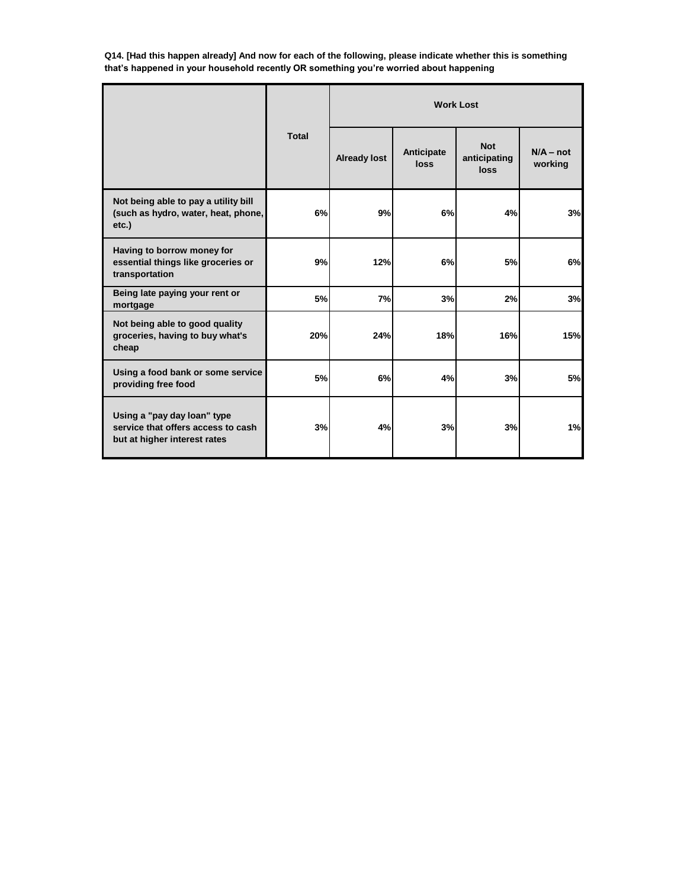**Q14. [Had this happen already] And now for each of the following, please indicate whether this is something that's happened in your household recently OR something you're worried about happening**

|                                                                                                   |              |                     |                           | <b>Work Lost</b>                          |                        |
|---------------------------------------------------------------------------------------------------|--------------|---------------------|---------------------------|-------------------------------------------|------------------------|
|                                                                                                   | <b>Total</b> | <b>Already lost</b> | Anticipate<br><b>loss</b> | <b>Not</b><br>anticipating<br><b>loss</b> | $N/A - not$<br>working |
| Not being able to pay a utility bill<br>(such as hydro, water, heat, phone,<br>etc.)              | 6%           | 9%                  | 6%                        | 4%                                        | 3%                     |
| Having to borrow money for<br>essential things like groceries or<br>transportation                | 9%           | 12%                 | 6%                        | <b>5%</b>                                 | 6%                     |
| Being late paying your rent or<br>mortgage                                                        | 5%           | 7%                  | 3%                        | 2%                                        | 3%                     |
| Not being able to good quality<br>groceries, having to buy what's<br>cheap                        | 20%          | 24%                 | 18%                       | 16%                                       | 15%                    |
| Using a food bank or some service<br>providing free food                                          | 5%           | 6%                  | 4%                        | 3%                                        | 5%                     |
| Using a "pay day loan" type<br>service that offers access to cash<br>but at higher interest rates | 3%           | 4%                  | 3%                        | 3%                                        | 1%                     |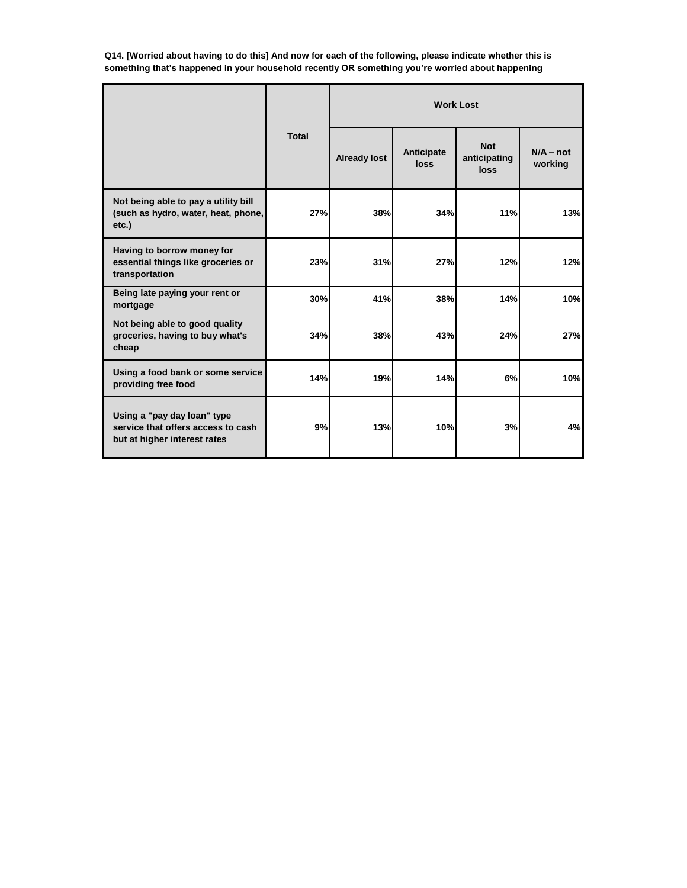**Q14. [Worried about having to do this] And now for each of the following, please indicate whether this is something that's happened in your household recently OR something you're worried about happening**

|                                                                                                   | <b>Total</b> |                     |                    | <b>Work Lost</b>                          |                        |
|---------------------------------------------------------------------------------------------------|--------------|---------------------|--------------------|-------------------------------------------|------------------------|
|                                                                                                   |              | <b>Already lost</b> | Anticipate<br>loss | <b>Not</b><br>anticipating<br><b>loss</b> | $N/A - not$<br>working |
| Not being able to pay a utility bill<br>(such as hydro, water, heat, phone,<br>etc.)              | 27%          | 38%                 | 34%                | 11%                                       | 13%                    |
| Having to borrow money for<br>essential things like groceries or<br>transportation                | 23%          | 31%                 | 27%                | 12%                                       | 12%                    |
| Being late paying your rent or<br>mortgage                                                        | 30%          | 41%                 | 38%                | 14%                                       | 10%                    |
| Not being able to good quality<br>groceries, having to buy what's<br>cheap                        | 34%          | 38%                 | 43%                | 24%                                       | 27%                    |
| Using a food bank or some service<br>providing free food                                          | 14%          | 19%                 | 14%                | 6%                                        | 10%                    |
| Using a "pay day loan" type<br>service that offers access to cash<br>but at higher interest rates | 9%           | 13%                 | 10%                | 3%                                        | 4%                     |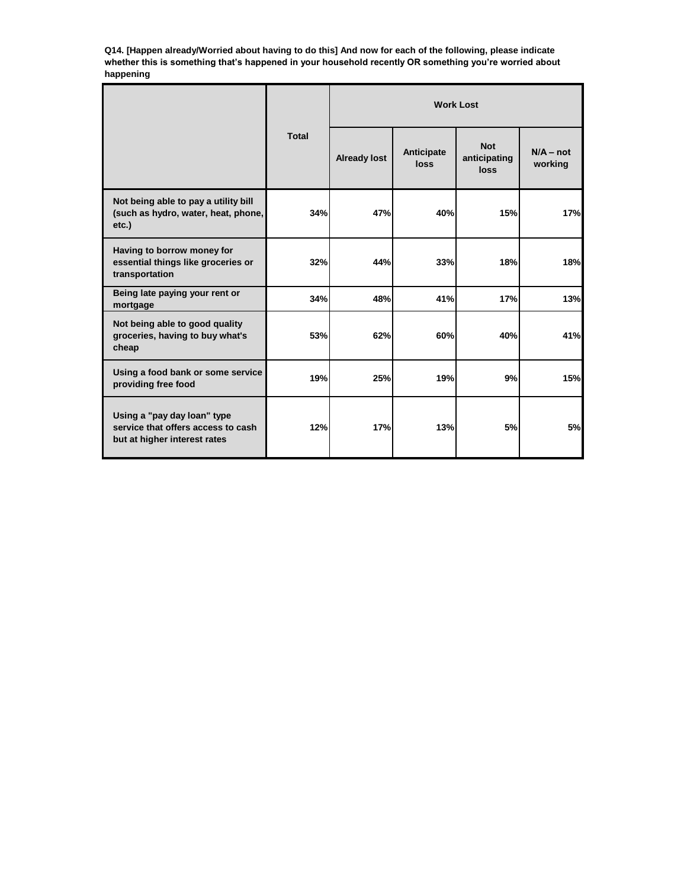**Q14. [Happen already/Worried about having to do this] And now for each of the following, please indicate whether this is something that's happened in your household recently OR something you're worried about happening**

|                                                                                                   | <b>Total</b> |                     |                           | <b>Work Lost</b>                          |                        |
|---------------------------------------------------------------------------------------------------|--------------|---------------------|---------------------------|-------------------------------------------|------------------------|
|                                                                                                   |              | <b>Already lost</b> | Anticipate<br><b>loss</b> | <b>Not</b><br>anticipating<br><b>loss</b> | $N/A - not$<br>working |
| Not being able to pay a utility bill<br>(such as hydro, water, heat, phone,<br>etc.)              | 34%          | 47%                 | 40%                       | 15%                                       | <b>17%</b>             |
| Having to borrow money for<br>essential things like groceries or<br>transportation                | 32%          | 44%                 | 33%                       | 18%                                       | 18%                    |
| Being late paying your rent or<br>mortgage                                                        | 34%          | 48%                 | 41%                       | 17%                                       | 13%                    |
| Not being able to good quality<br>groceries, having to buy what's<br>cheap                        | 53%          | 62%                 | 60%                       | 40%                                       | 41%                    |
| Using a food bank or some service<br>providing free food                                          | 19%          | 25%                 | 19%                       | 9%                                        | 15%                    |
| Using a "pay day loan" type<br>service that offers access to cash<br>but at higher interest rates | 12%          | 17%                 | 13%                       | 5%                                        | 5%                     |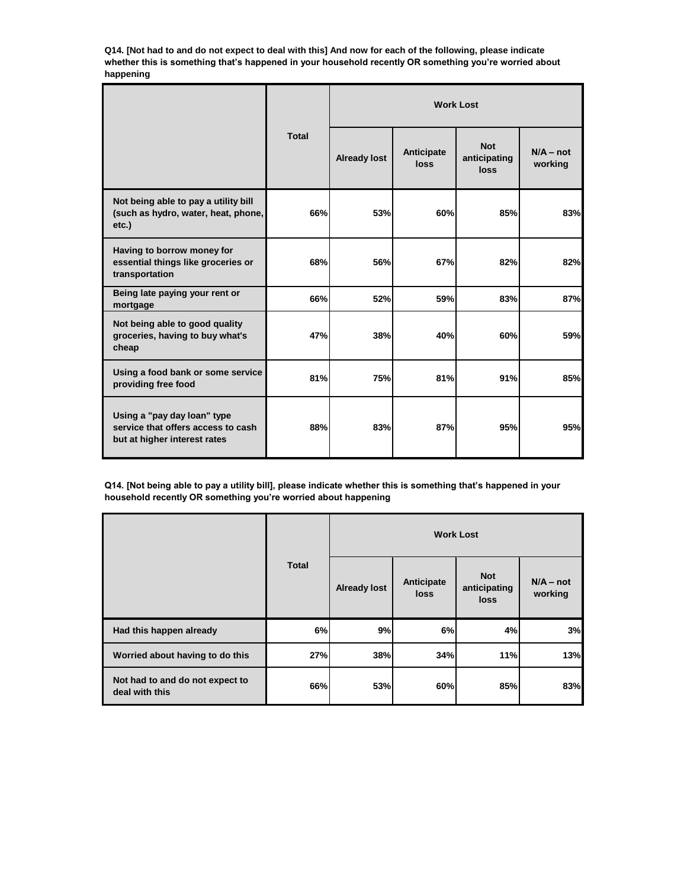**Q14. [Not had to and do not expect to deal with this] And now for each of the following, please indicate**  whether this is something that's happened in your household recently OR something you're worried about **happening**

|                                                                                                   | <b>Total</b> |                     |                           | <b>Work Lost</b>                   |                        |
|---------------------------------------------------------------------------------------------------|--------------|---------------------|---------------------------|------------------------------------|------------------------|
|                                                                                                   |              | <b>Already lost</b> | Anticipate<br><b>loss</b> | <b>Not</b><br>anticipating<br>loss | $N/A - not$<br>working |
| Not being able to pay a utility bill<br>(such as hydro, water, heat, phone,<br>etc.)              | 66%          | 53%                 | 60%                       | 85%                                | 83%                    |
| Having to borrow money for<br>essential things like groceries or<br>transportation                | 68%          | 56%                 | 67%                       | 82%                                | 82%                    |
| Being late paying your rent or<br>mortgage                                                        | 66%          | 52%                 | 59%                       | 83%                                | 87%                    |
| Not being able to good quality<br>groceries, having to buy what's<br>cheap                        | 47%          | 38%                 | 40%                       | 60%                                | 59%                    |
| Using a food bank or some service<br>providing free food                                          | 81%          | 75%                 | 81%                       | 91%                                | 85%                    |
| Using a "pay day loan" type<br>service that offers access to cash<br>but at higher interest rates | 88%          | 83%                 | 87%                       | 95%                                | 95%                    |

**Q14. [Not being able to pay a utility bill], please indicate whether this is something that's happened in your household recently OR something you're worried about happening**

|                                                   | <b>Total</b> |                     |                    | <b>Work Lost</b>                   |                        |
|---------------------------------------------------|--------------|---------------------|--------------------|------------------------------------|------------------------|
|                                                   |              | <b>Already lost</b> | Anticipate<br>loss | <b>Not</b><br>anticipating<br>loss | $N/A - not$<br>working |
| Had this happen already                           | 6%           | 9%                  | 6%                 | 4%                                 | 3%                     |
| Worried about having to do this                   | 27%          | 38%                 | 34%                | 11%                                | 13%                    |
| Not had to and do not expect to<br>deal with this | 66%          | 53%                 | 60%                | 85%                                | 83%                    |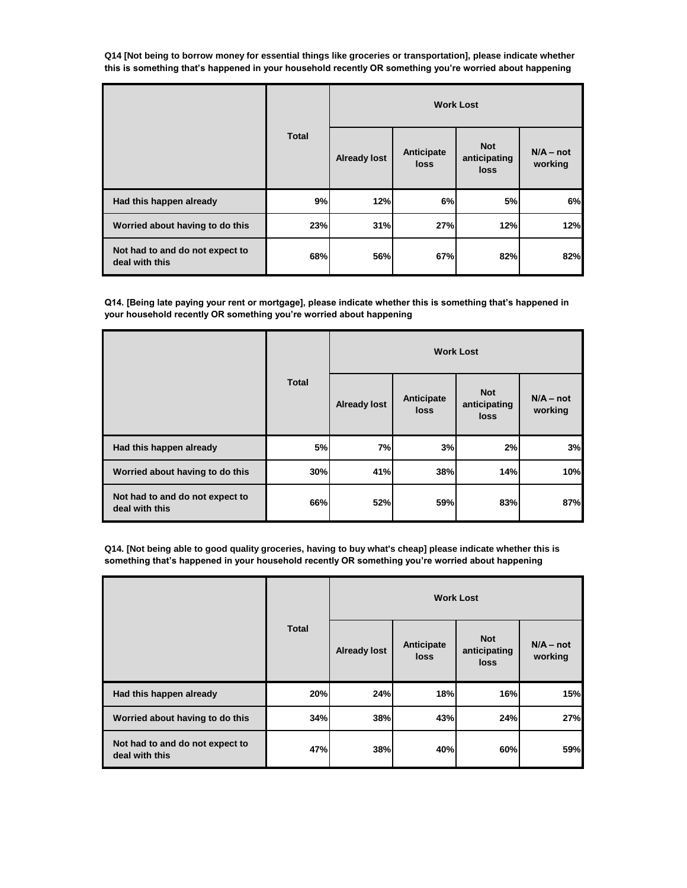**Q14 [Not being to borrow money for essential things like groceries or transportation], please indicate whether this is something that's happened in your household recently OR something you're worried about happening**

|                                                   | <b>Total</b> |                     |                    | <b>Work Lost</b>                   |                        |
|---------------------------------------------------|--------------|---------------------|--------------------|------------------------------------|------------------------|
|                                                   |              | <b>Already lost</b> | Anticipate<br>loss | <b>Not</b><br>anticipating<br>loss | $N/A - not$<br>working |
| Had this happen already                           | 9%           | 12%                 | 6%                 | 5%                                 | 6%                     |
| Worried about having to do this                   | 23%          | 31%                 | 27%                | 12%                                | 12%                    |
| Not had to and do not expect to<br>deal with this | 68%          | 56%                 | 67%                | 82%                                | 82%                    |

**Q14. [Being late paying your rent or mortgage], please indicate whether this is something that's happened in your household recently OR something you're worried about happening**

|                                                   |              |                     |                    | <b>Work Lost</b>                   |                        |
|---------------------------------------------------|--------------|---------------------|--------------------|------------------------------------|------------------------|
|                                                   | <b>Total</b> | <b>Already lost</b> | Anticipate<br>loss | <b>Not</b><br>anticipating<br>loss | $N/A - not$<br>working |
| Had this happen already                           | 5%           | 7%                  | 3%                 | 2%                                 | 3%                     |
| Worried about having to do this                   | 30%          | 41%                 | 38%                | 14%                                | 10%                    |
| Not had to and do not expect to<br>deal with this | 66%          | 52%                 | 59%                | 83%                                | 87%                    |

**Q14. [Not being able to good quality groceries, having to buy what's cheap] please indicate whether this is something that's happened in your household recently OR something you're worried about happening**

|                                                   | <b>Total</b> |                     |                    | <b>Work Lost</b>                   |                        |
|---------------------------------------------------|--------------|---------------------|--------------------|------------------------------------|------------------------|
|                                                   |              | <b>Already lost</b> | Anticipate<br>loss | <b>Not</b><br>anticipating<br>loss | $N/A - not$<br>working |
| Had this happen already                           | 20%          | 24%                 | 18%                | 16%                                | 15%                    |
| Worried about having to do this                   | 34%          | 38%                 | 43%                | 24%                                | 27%                    |
| Not had to and do not expect to<br>deal with this | 47%          | 38%                 | 40%                | 60%                                | 59%                    |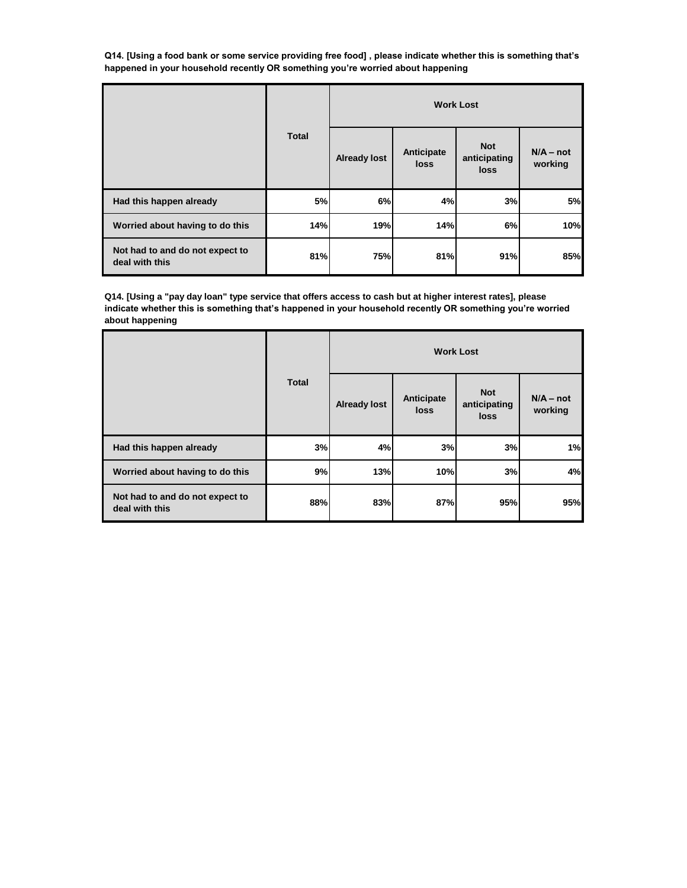**Q14. [Using a food bank or some service providing free food] , please indicate whether this is something that's happened in your household recently OR something you're worried about happening**

|                                                   | <b>Total</b> |                     |                    | <b>Work Lost</b>                          |                        |
|---------------------------------------------------|--------------|---------------------|--------------------|-------------------------------------------|------------------------|
|                                                   |              | <b>Already lost</b> | Anticipate<br>loss | <b>Not</b><br>anticipating<br><b>loss</b> | $N/A - not$<br>working |
| Had this happen already                           | 5%           | 6%                  | 4%                 | 3%                                        | 5%                     |
| Worried about having to do this                   | 14%          | 19%                 | 14%                | 6%                                        | 10%                    |
| Not had to and do not expect to<br>deal with this | 81%          | 75%                 | 81%                | 91%                                       | 85%                    |

**Q14. [Using a "pay day loan" type service that offers access to cash but at higher interest rates], please indicate whether this is something that's happened in your household recently OR something you're worried about happening**

|                                                   |              |                     |                    | <b>Work Lost</b>                   |                        |
|---------------------------------------------------|--------------|---------------------|--------------------|------------------------------------|------------------------|
|                                                   | <b>Total</b> | <b>Already lost</b> | Anticipate<br>loss | <b>Not</b><br>anticipating<br>loss | $N/A - not$<br>working |
| Had this happen already                           | 3%           | 4%                  | 3%                 | 3%                                 | 1%                     |
| Worried about having to do this                   | 9%           | 13%                 | 10%                | 3%                                 | 4%                     |
| Not had to and do not expect to<br>deal with this | 88%          | 83%                 | 87%                | 95%                                | 95%                    |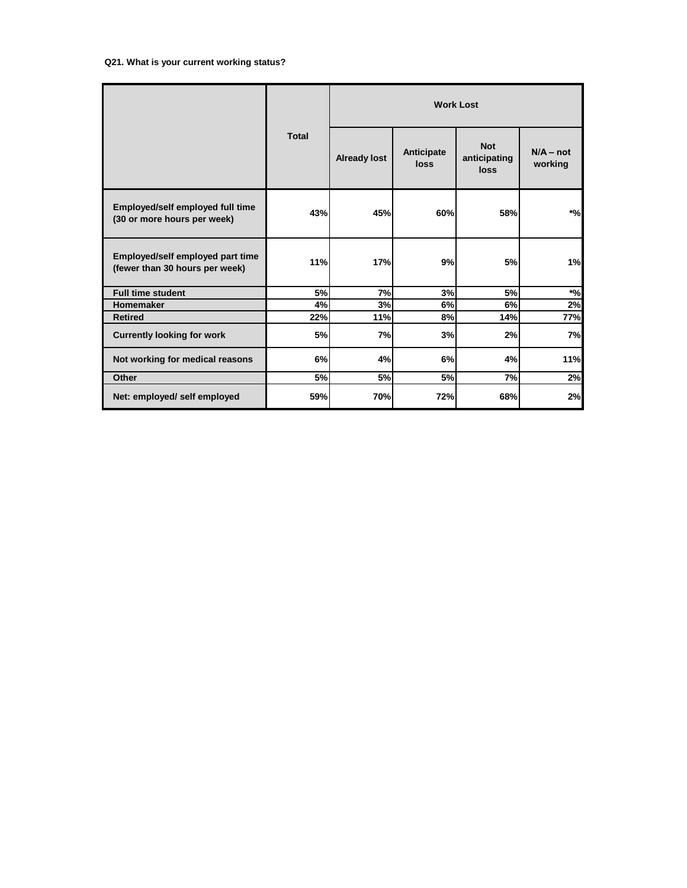|                                                                    | <b>Total</b> |                     |                    | <b>Work Lost</b>                   |                        |
|--------------------------------------------------------------------|--------------|---------------------|--------------------|------------------------------------|------------------------|
|                                                                    |              | <b>Already lost</b> | Anticipate<br>loss | <b>Not</b><br>anticipating<br>loss | $N/A - not$<br>working |
| Employed/self employed full time<br>(30 or more hours per week)    | 43%          | 45%                 | 60%                | 58%                                | $*$ %                  |
| Employed/self employed part time<br>(fewer than 30 hours per week) | 11%          | 17%                 | 9%                 | 5%                                 | 1%                     |
| <b>Full time student</b>                                           | 5%           | 7%                  | 3%                 | 5%                                 | $*_{\%}$               |
| Homemaker                                                          | 4%           | 3%                  | 6%                 | 6%                                 | 2%                     |
| <b>Retired</b>                                                     | 22%          | 11%                 | 8%                 | 14%                                | 77%                    |
| <b>Currently looking for work</b>                                  | 5%           | 7%                  | 3%                 | 2%                                 | 7%                     |
| Not working for medical reasons                                    | 6%           | 4%                  | 6%                 | 4%                                 | 11%                    |
| <b>Other</b>                                                       | 5%           | 5%                  | 5%                 | 7%                                 | 2%                     |
| Net: employed/ self employed                                       | 59%          | 70%                 | 72%                | 68%                                | 2%                     |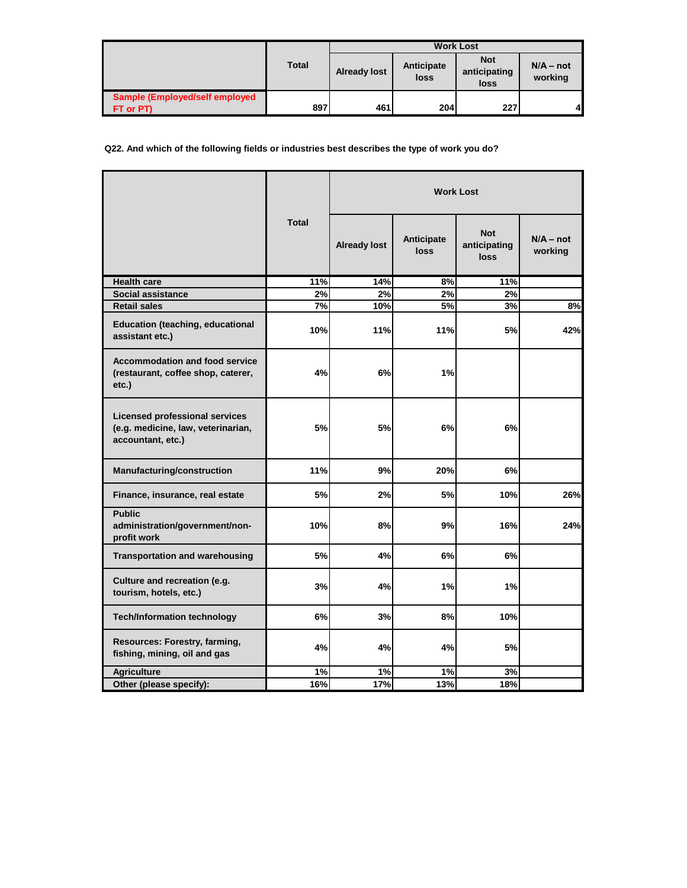|                                                     |              |                     |                    | <b>Work Lost</b>                   |                        |
|-----------------------------------------------------|--------------|---------------------|--------------------|------------------------------------|------------------------|
|                                                     | <b>Total</b> | <b>Already lost</b> | Anticipate<br>loss | <b>Not</b><br>anticipating<br>loss | $N/A - not$<br>working |
| <b>Sample (Employed/self employed)</b><br>FT or PT) | 897          | 461                 | 204                | <b>227</b>                         | 4                      |

**Q22. And which of the following fields or industries best describes the type of work you do?**

|                                                                                           |              |                     |                    | <b>Work Lost</b>                          |                        |
|-------------------------------------------------------------------------------------------|--------------|---------------------|--------------------|-------------------------------------------|------------------------|
|                                                                                           | <b>Total</b> | <b>Already lost</b> | Anticipate<br>loss | <b>Not</b><br>anticipating<br><b>loss</b> | $N/A - not$<br>working |
| <b>Health care</b>                                                                        | 11%          | 14%                 | 8%                 | 11%                                       |                        |
| Social assistance                                                                         | 2%           | 2%                  | 2%                 | 2%                                        |                        |
| <b>Retail sales</b>                                                                       | 7%           | 10%                 | 5%                 | 3%                                        | 8%                     |
| <b>Education (teaching, educational</b><br>assistant etc.)                                | 10%          | 11%                 | 11%                | 5%                                        | 42%                    |
| <b>Accommodation and food service</b><br>(restaurant, coffee shop, caterer,<br>etc.)      | 4%           | 6%                  | 1%                 |                                           |                        |
| Licensed professional services<br>(e.g. medicine, law, veterinarian,<br>accountant, etc.) | 5%           | 5%                  | 6%                 | 6%                                        |                        |
| Manufacturing/construction                                                                | 11%          | 9%                  | 20%                | 6%                                        |                        |
| Finance, insurance, real estate                                                           | 5%           | 2%                  | 5%                 | 10%                                       | 26%                    |
| <b>Public</b><br>administration/government/non-<br>profit work                            | 10%          | 8%                  | 9%                 | 16%                                       | 24%                    |
| <b>Transportation and warehousing</b>                                                     | 5%           | 4%                  | 6%                 | 6%                                        |                        |
| Culture and recreation (e.g.<br>tourism, hotels, etc.)                                    | 3%           | 4%                  | 1%                 | 1%                                        |                        |
| <b>Tech/Information technology</b>                                                        | 6%           | 3%                  | 8%                 | 10%                                       |                        |
| Resources: Forestry, farming,<br>fishing, mining, oil and gas                             | 4%           | 4%                  | 4%                 | 5%                                        |                        |
| <b>Agriculture</b>                                                                        | 1%           | 1%                  | 1%                 | 3%                                        |                        |
| Other (please specify):                                                                   | 16%          | $\frac{1}{17%}$     | 13%                | 18%                                       |                        |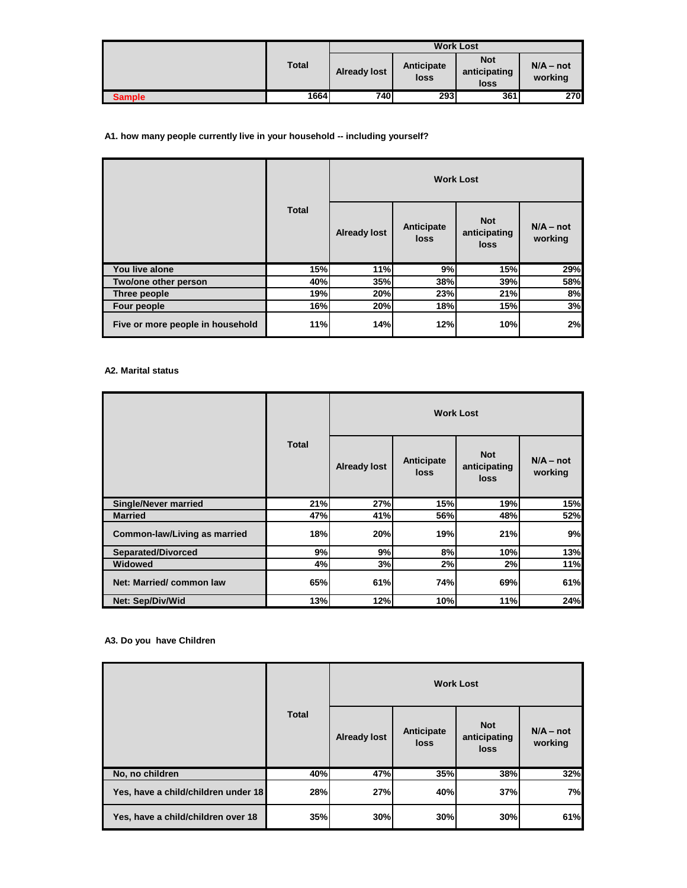|               | <b>Total</b> | <b>Work Lost</b>    |                    |                                    |                        |
|---------------|--------------|---------------------|--------------------|------------------------------------|------------------------|
|               |              | <b>Already lost</b> | Anticipate<br>loss | <b>Not</b><br>anticipating<br>loss | $N/A - not$<br>working |
| <b>Sample</b> | 1664         | 740                 | 293                | 361                                | 270I                   |

## **A1. how many people currently live in your household -- including yourself?**

|                                  | <b>Total</b> | <b>Work Lost</b>    |                    |                                    |                        |
|----------------------------------|--------------|---------------------|--------------------|------------------------------------|------------------------|
|                                  |              | <b>Already lost</b> | Anticipate<br>loss | <b>Not</b><br>anticipating<br>loss | $N/A - not$<br>working |
| You live alone                   | 15%          | 11%                 | 9%                 | 15%                                | 29%                    |
| Two/one other person             | 40%          | 35%                 | 38%                | 39%                                | 58%                    |
| Three people                     | 19%          | 20%                 | 23%                | 21%                                | 8%                     |
| Four people                      | 16%          | 20%                 | 18%                | 15%                                | 3%                     |
| Five or more people in household | 11%          | 14%                 | 12%                | 10%                                | 2%                     |

## **A2. Marital status**

|                              |              |                     |                    | <b>Work Lost</b>                   |                        |  |  |
|------------------------------|--------------|---------------------|--------------------|------------------------------------|------------------------|--|--|
|                              | <b>Total</b> | <b>Already lost</b> | Anticipate<br>loss | <b>Not</b><br>anticipating<br>loss | $N/A - not$<br>working |  |  |
| <b>Single/Never married</b>  | 21%          | 27%                 | 15%                | 19%                                | 15%                    |  |  |
| <b>Married</b>               | 47%          | 41%                 | 56%                | 48%                                | 52%                    |  |  |
| Common-law/Living as married | 18%          | 20%                 | 19%                | 21%                                | 9%                     |  |  |
| <b>Separated/Divorced</b>    | 9%           | 9%                  | 8%                 | 10%                                | 13%                    |  |  |
| <b>Widowed</b>               | 4%           | 3%                  | 2%                 | 2%                                 | 11%                    |  |  |
| Net: Married/common law      | 65%          | 61%                 | 74%                | 69%                                | 61%                    |  |  |
| Net: Sep/Div/Wid             | 13%          | 12%                 | 10%                | 11%                                | 24%                    |  |  |

## **A3. Do you have Children**

|                                     | <b>Total</b> | <b>Work Lost</b>    |                    |                                    |                        |
|-------------------------------------|--------------|---------------------|--------------------|------------------------------------|------------------------|
|                                     |              | <b>Already lost</b> | Anticipate<br>loss | <b>Not</b><br>anticipating<br>loss | $N/A - not$<br>working |
| No, no children                     | 40%          | 47%                 | 35%                | 38%                                | 32%                    |
| Yes, have a child/children under 18 | 28%          | 27%                 | 40%                | 37%                                | 7%                     |
| Yes, have a child/children over 18  | 35%          | 30%                 | 30%                | 30%                                | 61%                    |